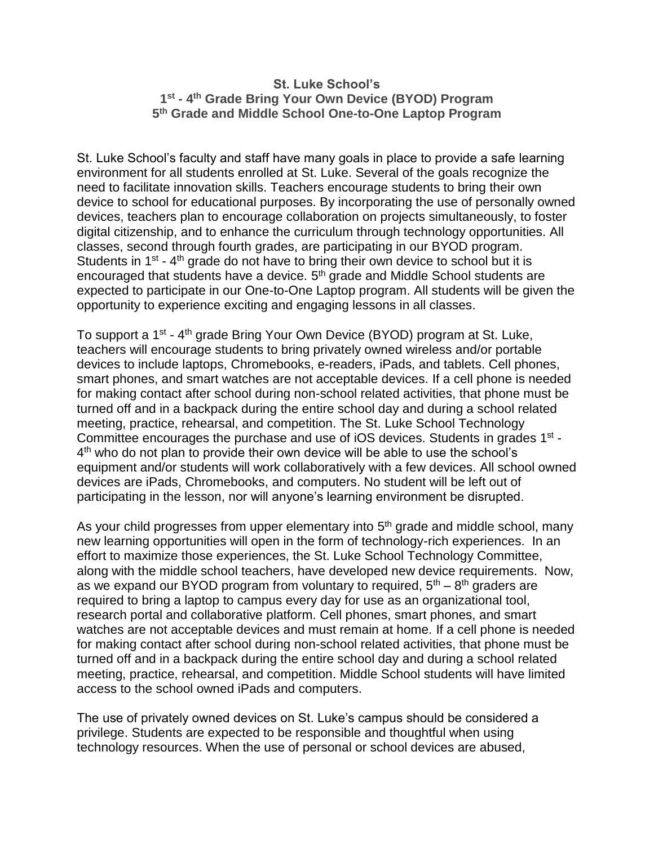## **St. Luke School's 1 st - 4 th Grade Bring Your Own Device (BYOD) Program 5 th Grade and Middle School One-to-One Laptop Program**

St. Luke School's faculty and staff have many goals in place to provide a safe learning environment for all students enrolled at St. Luke. Several of the goals recognize the need to facilitate innovation skills. Teachers encourage students to bring their own device to school for educational purposes. By incorporating the use of personally owned devices, teachers plan to encourage collaboration on projects simultaneously, to foster digital citizenship, and to enhance the curriculum through technology opportunities. All classes, second through fourth grades, are participating in our BYOD program. Students in  $1<sup>st</sup>$  -  $4<sup>th</sup>$  grade do not have to bring their own device to school but it is encouraged that students have a device. 5<sup>th</sup> grade and Middle School students are expected to participate in our One-to-One Laptop program. All students will be given the opportunity to experience exciting and engaging lessons in all classes.

To support a 1<sup>st</sup> - 4<sup>th</sup> grade Bring Your Own Device (BYOD) program at St. Luke, teachers will encourage students to bring privately owned wireless and/or portable devices to include laptops, Chromebooks, e-readers, iPads, and tablets. Cell phones, smart phones, and smart watches are not acceptable devices. If a cell phone is needed for making contact after school during non-school related activities, that phone must be turned off and in a backpack during the entire school day and during a school related meeting, practice, rehearsal, and competition. The St. Luke School Technology Committee encourages the purchase and use of iOS devices. Students in grades  $1<sup>st</sup>$  -4<sup>th</sup> who do not plan to provide their own device will be able to use the school's equipment and/or students will work collaboratively with a few devices. All school owned devices are iPads, Chromebooks, and computers. No student will be left out of participating in the lesson, nor will anyone's learning environment be disrupted.

As your child progresses from upper elementary into 5<sup>th</sup> grade and middle school, many new learning opportunities will open in the form of technology-rich experiences. In an effort to maximize those experiences, the St. Luke School Technology Committee, along with the middle school teachers, have developed new device requirements. Now, as we expand our BYOD program from voluntary to required, 5<sup>th</sup> – 8<sup>th</sup> graders are required to bring a laptop to campus every day for use as an organizational tool, research portal and collaborative platform. Cell phones, smart phones, and smart watches are not acceptable devices and must remain at home. If a cell phone is needed for making contact after school during non-school related activities, that phone must be turned off and in a backpack during the entire school day and during a school related meeting, practice, rehearsal, and competition. Middle School students will have limited access to the school owned iPads and computers.

The use of privately owned devices on St. Luke's campus should be considered a privilege. Students are expected to be responsible and thoughtful when using technology resources. When the use of personal or school devices are abused,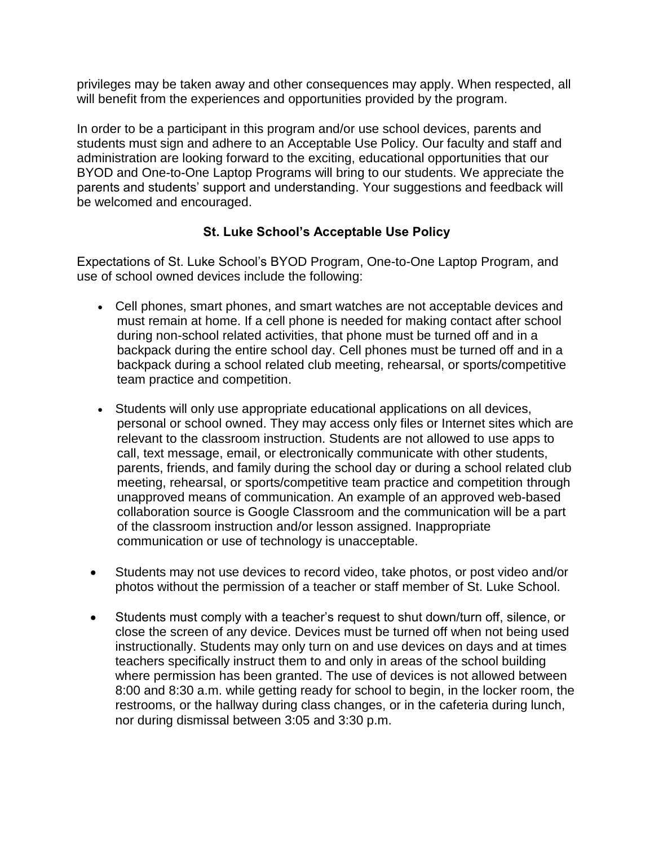privileges may be taken away and other consequences may apply. When respected, all will benefit from the experiences and opportunities provided by the program.

In order to be a participant in this program and/or use school devices, parents and students must sign and adhere to an Acceptable Use Policy. Our faculty and staff and administration are looking forward to the exciting, educational opportunities that our BYOD and One-to-One Laptop Programs will bring to our students. We appreciate the parents and students' support and understanding. Your suggestions and feedback will be welcomed and encouraged.

## **St. Luke School's Acceptable Use Policy**

Expectations of St. Luke School's BYOD Program, One-to-One Laptop Program, and use of school owned devices include the following:

- Cell phones, smart phones, and smart watches are not acceptable devices and must remain at home. If a cell phone is needed for making contact after school during non-school related activities, that phone must be turned off and in a backpack during the entire school day. Cell phones must be turned off and in a backpack during a school related club meeting, rehearsal, or sports/competitive team practice and competition.
- Students will only use appropriate educational applications on all devices, personal or school owned. They may access only files or Internet sites which are relevant to the classroom instruction. Students are not allowed to use apps to call, text message, email, or electronically communicate with other students, parents, friends, and family during the school day or during a school related club meeting, rehearsal, or sports/competitive team practice and competition through unapproved means of communication. An example of an approved web-based collaboration source is Google Classroom and the communication will be a part of the classroom instruction and/or lesson assigned. Inappropriate communication or use of technology is unacceptable.
- Students may not use devices to record video, take photos, or post video and/or photos without the permission of a teacher or staff member of St. Luke School.
- Students must comply with a teacher's request to shut down/turn off, silence, or close the screen of any device. Devices must be turned off when not being used instructionally. Students may only turn on and use devices on days and at times teachers specifically instruct them to and only in areas of the school building where permission has been granted. The use of devices is not allowed between 8:00 and 8:30 a.m. while getting ready for school to begin, in the locker room, the restrooms, or the hallway during class changes, or in the cafeteria during lunch, nor during dismissal between 3:05 and 3:30 p.m.